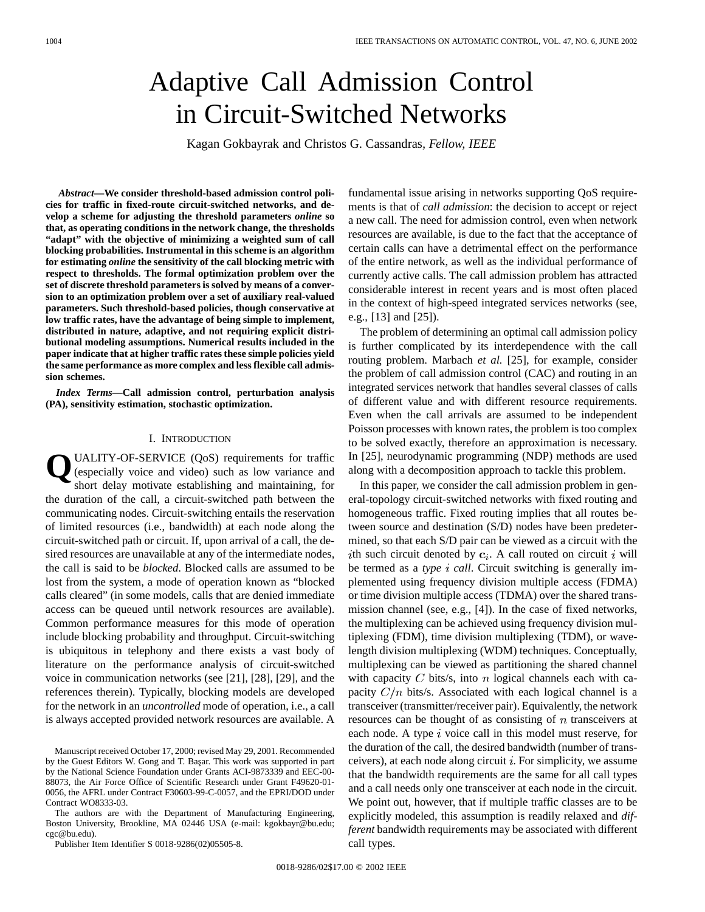# Adaptive Call Admission Control in Circuit-Switched Networks

Kagan Gokbayrak and Christos G. Cassandras*, Fellow, IEEE*

*Abstract—***We consider threshold-based admission control policies for traffic in fixed-route circuit-switched networks, and develop a scheme for adjusting the threshold parameters** *online* **so that, as operating conditions in the network change, the thresholds "adapt" with the objective of minimizing a weighted sum of call blocking probabilities. Instrumental in this scheme is an algorithm for estimating** *online* **the sensitivity of the call blocking metric with respect to thresholds. The formal optimization problem over the set of discrete threshold parameters is solved by means of a conversion to an optimization problem over a set of auxiliary real-valued parameters. Such threshold-based policies, though conservative at low traffic rates, have the advantage of being simple to implement, distributed in nature, adaptive, and not requiring explicit distributional modeling assumptions. Numerical results included in the paper indicate that at higher traffic rates these simple policies yield the same performance as more complex and less flexible call admission schemes.**

*Index Terms—***Call admission control, perturbation analysis (PA), sensitivity estimation, stochastic optimization.**

## I. INTRODUCTION

**Q**UALITY-OF-SERVICE (QoS) requirements for traffic (especially voice and video) such as low variance and state that delay mating extending the state of the state of the state of the state of the state of the state of the short delay motivate establishing and maintaining, for the duration of the call, a circuit-switched path between the communicating nodes. Circuit-switching entails the reservation of limited resources (i.e., bandwidth) at each node along the circuit-switched path or circuit. If, upon arrival of a call, the desired resources are unavailable at any of the intermediate nodes, the call is said to be *blocked*. Blocked calls are assumed to be lost from the system, a mode of operation known as "blocked calls cleared" (in some models, calls that are denied immediate access can be queued until network resources are available). Common performance measures for this mode of operation include blocking probability and throughput. Circuit-switching is ubiquitous in telephony and there exists a vast body of literature on the performance analysis of circuit-switched voice in communication networks (see [21], [28], [29], and the references therein). Typically, blocking models are developed for the network in an *uncontrolled* mode of operation, i.e., a call is always accepted provided network resources are available. A

The authors are with the Department of Manufacturing Engineering, Boston University, Brookline, MA 02446 USA (e-mail: kgokbayr@bu.edu; cgc@bu.edu).

Publisher Item Identifier S 0018-9286(02)05505-8.

fundamental issue arising in networks supporting QoS requirements is that of *call admission*: the decision to accept or reject a new call. The need for admission control, even when network resources are available, is due to the fact that the acceptance of certain calls can have a detrimental effect on the performance of the entire network, as well as the individual performance of currently active calls. The call admission problem has attracted considerable interest in recent years and is most often placed in the context of high-speed integrated services networks (see, e.g., [13] and [25]).

The problem of determining an optimal call admission policy is further complicated by its interdependence with the call routing problem. Marbach *et al.* [25], for example, consider the problem of call admission control (CAC) and routing in an integrated services network that handles several classes of calls of different value and with different resource requirements. Even when the call arrivals are assumed to be independent Poisson processes with known rates, the problem is too complex to be solved exactly, therefore an approximation is necessary. In [25], neurodynamic programming (NDP) methods are used along with a decomposition approach to tackle this problem.

In this paper, we consider the call admission problem in general-topology circuit-switched networks with fixed routing and homogeneous traffic. Fixed routing implies that all routes between source and destination (S/D) nodes have been predetermined, so that each S/D pair can be viewed as a circuit with the ith such circuit denoted by  $c_i$ . A call routed on circuit i will be termed as a *type i* call. Circuit switching is generally implemented using frequency division multiple access (FDMA) or time division multiple access (TDMA) over the shared transmission channel (see, e.g., [4]). In the case of fixed networks, the multiplexing can be achieved using frequency division multiplexing (FDM), time division multiplexing (TDM), or wavelength division multiplexing (WDM) techniques. Conceptually, multiplexing can be viewed as partitioning the shared channel with capacity  $C$  bits/s, into  $n$  logical channels each with capacity  $C/n$  bits/s. Associated with each logical channel is a transceiver (transmitter/receiver pair). Equivalently, the network resources can be thought of as consisting of  $n$  transceivers at each node. A type  $i$  voice call in this model must reserve, for the duration of the call, the desired bandwidth (number of transceivers), at each node along circuit  $i$ . For simplicity, we assume that the bandwidth requirements are the same for all call types and a call needs only one transceiver at each node in the circuit. We point out, however, that if multiple traffic classes are to be explicitly modeled, this assumption is readily relaxed and *different* bandwidth requirements may be associated with different call types.

Manuscript received October 17, 2000; revised May 29, 2001. Recommended by the Guest Editors W. Gong and T. Başar. This work was supported in part by the National Science Foundation under Grants ACI-9873339 and EEC-00- 88073, the Air Force Office of Scientific Research under Grant F49620-01- 0056, the AFRL under Contract F30603-99-C-0057, and the EPRI/DOD under Contract WO8333-03.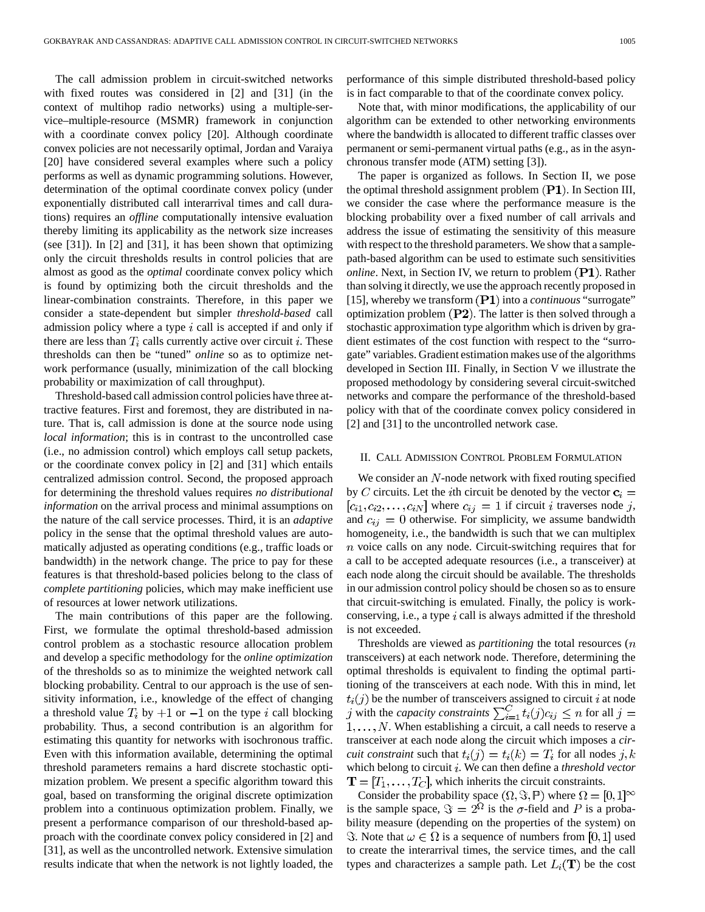The call admission problem in circuit-switched networks with fixed routes was considered in [2] and [31] (in the context of multihop radio networks) using a multiple-service–multiple-resource (MSMR) framework in conjunction with a coordinate convex policy [20]. Although coordinate convex policies are not necessarily optimal, Jordan and Varaiya [20] have considered several examples where such a policy performs as well as dynamic programming solutions. However, determination of the optimal coordinate convex policy (under exponentially distributed call interarrival times and call durations) requires an *offline* computationally intensive evaluation thereby limiting its applicability as the network size increases (see [31]). In [2] and [31], it has been shown that optimizing only the circuit thresholds results in control policies that are almost as good as the *optimal* coordinate convex policy which is found by optimizing both the circuit thresholds and the linear-combination constraints. Therefore, in this paper we consider a state-dependent but simpler *threshold-based* call admission policy where a type  $i$  call is accepted if and only if there are less than  $T_i$  calls currently active over circuit i. These thresholds can then be "tuned" *online* so as to optimize network performance (usually, minimization of the call blocking probability or maximization of call throughput).

Threshold-based call admission control policies have three attractive features. First and foremost, they are distributed in nature. That is, call admission is done at the source node using *local information*; this is in contrast to the uncontrolled case (i.e., no admission control) which employs call setup packets, or the coordinate convex policy in [2] and [31] which entails centralized admission control. Second, the proposed approach for determining the threshold values requires *no distributional information* on the arrival process and minimal assumptions on the nature of the call service processes. Third, it is an *adaptive* policy in the sense that the optimal threshold values are automatically adjusted as operating conditions (e.g., traffic loads or bandwidth) in the network change. The price to pay for these features is that threshold-based policies belong to the class of *complete partitioning* policies, which may make inefficient use of resources at lower network utilizations.

The main contributions of this paper are the following. First, we formulate the optimal threshold-based admission control problem as a stochastic resource allocation problem and develop a specific methodology for the *online optimization* of the thresholds so as to minimize the weighted network call blocking probability. Central to our approach is the use of sensitivity information, i.e., knowledge of the effect of changing a threshold value  $T_i$  by  $+1$  or  $-1$  on the type i call blocking probability. Thus, a second contribution is an algorithm for estimating this quantity for networks with isochronous traffic. Even with this information available, determining the optimal threshold parameters remains a hard discrete stochastic optimization problem. We present a specific algorithm toward this goal, based on transforming the original discrete optimization problem into a continuous optimization problem. Finally, we present a performance comparison of our threshold-based approach with the coordinate convex policy considered in [2] and [31], as well as the uncontrolled network. Extensive simulation results indicate that when the network is not lightly loaded, the performance of this simple distributed threshold-based policy is in fact comparable to that of the coordinate convex policy.

Note that, with minor modifications, the applicability of our algorithm can be extended to other networking environments where the bandwidth is allocated to different traffic classes over permanent or semi-permanent virtual paths (e.g., as in the asynchronous transfer mode (ATM) setting [3]).

The paper is organized as follows. In Section II, we pose the optimal threshold assignment problem  $(PI)$ . In Section III, we consider the case where the performance measure is the blocking probability over a fixed number of call arrivals and address the issue of estimating the sensitivity of this measure with respect to the threshold parameters. We show that a samplepath-based algorithm can be used to estimate such sensitivities *online*. Next, in Section IV, we return to problem  $(PI)$ . Rather than solving it directly, we use the approach recently proposed in [15], whereby we transform  $(P1)$  into a *continuous* "surrogate" optimization problem  $(P2)$ . The latter is then solved through a stochastic approximation type algorithm which is driven by gradient estimates of the cost function with respect to the "surrogate" variables. Gradient estimation makes use of the algorithms developed in Section III. Finally, in Section V we illustrate the proposed methodology by considering several circuit-switched networks and compare the performance of the threshold-based policy with that of the coordinate convex policy considered in [2] and [31] to the uncontrolled network case.

## II. CALL ADMISSION CONTROL PROBLEM FORMULATION

We consider an  $N$ -node network with fixed routing specified by C circuits. Let the *i*th circuit be denoted by the vector  $\mathbf{c}_i =$  $[c_{i1}, c_{i2}, \ldots, c_{iN}]$  where  $c_{ij} = 1$  if circuit i traverses node j, and  $c_{ij} = 0$  otherwise. For simplicity, we assume bandwidth homogeneity, i.e., the bandwidth is such that we can multiplex  $n$  voice calls on any node. Circuit-switching requires that for a call to be accepted adequate resources (i.e., a transceiver) at each node along the circuit should be available. The thresholds in our admission control policy should be chosen so as to ensure that circuit-switching is emulated. Finally, the policy is workconserving, i.e., a type  $i$  call is always admitted if the threshold is not exceeded.

Thresholds are viewed as *partitioning* the total resources ( transceivers) at each network node. Therefore, determining the optimal thresholds is equivalent to finding the optimal partitioning of the transceivers at each node. With this in mind, let be the number of transceivers assigned to circuit  $i$  at node with the *capacity constraints*  $\sum_{i=1}^{6} t_i(j)c_{ij} \leq n$  for all  $1, \ldots, N$ . When establishing a circuit, a call needs to reserve a transceiver at each node along the circuit which imposes a *circuit constraint* such that  $t_i(j) = t_i(k) = T_i$  for all nodes j, k which belong to circuit *i*. We can then define a *threshold vector*  $\mathbf{T} = [T_1, \dots, T_C]$ , which inherits the circuit constraints.

Consider the probability space  $(\Omega, \Im, \mathbb{P})$  where  $\Omega = [0, 1]^\infty$ is the sample space,  $\Im = 2^{\Omega}$  is the  $\sigma$ -field and P is a probability measure (depending on the properties of the system) on  $\Im$ . Note that  $\omega \in \Omega$  is a sequence of numbers from [0, 1] used to create the interarrival times, the service times, and the call types and characterizes a sample path. Let  $L_i(\mathbf{T})$  be the cost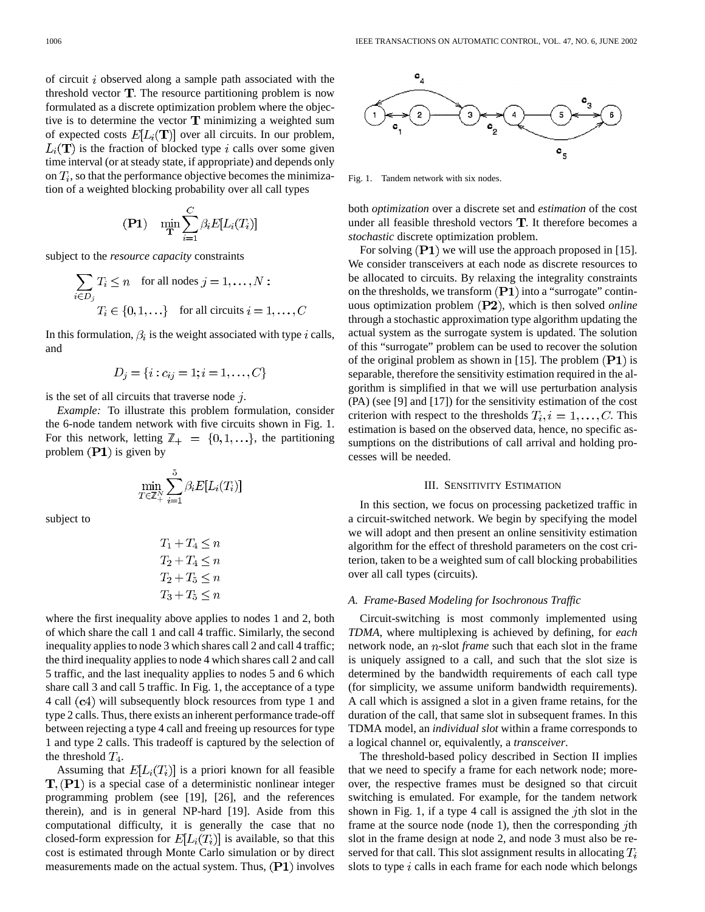of circuit  $i$  observed along a sample path associated with the threshold vector  $T$ . The resource partitioning problem is now formulated as a discrete optimization problem where the objective is to determine the vector  $T$  minimizing a weighted sum of expected costs  $E[L_i(\mathbf{T})]$  over all circuits. In our problem,  $L_i(\mathbf{T})$  is the fraction of blocked type i calls over some given time interval (or at steady state, if appropriate) and depends only on  $T_i$ , so that the performance objective becomes the minimization of a weighted blocking probability over all call types

$$
\textbf{(P1)} \quad \min_{\mathbf{T}} \sum_{i=1}^{C} \beta_i E[L_i(T_i)]
$$

subject to the *resource capacity* constraints

$$
\sum_{i \in D_j} T_i \le n \quad \text{for all nodes } j = 1, \dots, N:
$$
  

$$
T_i \in \{0, 1, \dots\} \quad \text{for all circuits } i = 1, \dots, C
$$

In this formulation,  $\beta_i$  is the weight associated with type i calls, and

$$
D_j = \{i : c_{ij} = 1; i = 1, \dots, C\}
$$

is the set of all circuits that traverse node  $j$ .

*Example:* To illustrate this problem formulation, consider the 6-node tandem network with five circuits shown in Fig. 1. For this network, letting  $\mathbb{Z}_+ = \{0, 1, \ldots\}$ , the partitioning problem  $(P1)$  is given by

$$
\min_{T\in\mathbb{Z}_+^N} \sum_{i=1}^5 \beta_i E[L_i(T_i)]
$$

subject to

$$
T_1 + T_4 \le n
$$
  
\n
$$
T_2 + T_4 \le n
$$
  
\n
$$
T_2 + T_5 \le n
$$
  
\n
$$
T_3 + T_5 \le n
$$

where the first inequality above applies to nodes 1 and 2, both of which share the call 1 and call 4 traffic. Similarly, the second inequality applies to node 3 which shares call 2 and call 4 traffic; the third inequality applies to node 4 which shares call 2 and call 5 traffic, and the last inequality applies to nodes 5 and 6 which share call 3 and call 5 traffic. In Fig. 1, the acceptance of a type 4 call  $(c4)$  will subsequently block resources from type 1 and type 2 calls. Thus, there exists an inherent performance trade-off between rejecting a type 4 call and freeing up resources for type 1 and type 2 calls. This tradeoff is captured by the selection of the threshold  $T_4$ .

Assuming that  $E[L_i(T_i)]$  is a priori known for all feasible  $T<sub>i</sub>(P1)$  is a special case of a deterministic nonlinear integer programming problem (see [19], [26], and the references therein), and is in general NP-hard [19]. Aside from this computational difficulty, it is generally the case that no closed-form expression for  $E[L_i(T_i)]$  is available, so that this cost is estimated through Monte Carlo simulation or by direct measurements made on the actual system. Thus,  $(P1)$  involves



Fig. 1. Tandem network with six nodes.

both *optimization* over a discrete set and *estimation* of the cost under all feasible threshold vectors  $T$ . It therefore becomes a *stochastic* discrete optimization problem.

For solving  $(P1)$  we will use the approach proposed in [15]. We consider transceivers at each node as discrete resources to be allocated to circuits. By relaxing the integrality constraints on the thresholds, we transform  $(PI)$  into a "surrogate" continuous optimization problem (P2), which is then solved *online* through a stochastic approximation type algorithm updating the actual system as the surrogate system is updated. The solution of this "surrogate" problem can be used to recover the solution of the original problem as shown in [15]. The problem  $(PI)$  is separable, therefore the sensitivity estimation required in the algorithm is simplified in that we will use perturbation analysis (PA) (see [9] and [17]) for the sensitivity estimation of the cost criterion with respect to the thresholds  $T_i$ ,  $i = 1, \ldots, C$ . This estimation is based on the observed data, hence, no specific assumptions on the distributions of call arrival and holding processes will be needed.

#### III. SENSITIVITY ESTIMATION

In this section, we focus on processing packetized traffic in a circuit-switched network. We begin by specifying the model we will adopt and then present an online sensitivity estimation algorithm for the effect of threshold parameters on the cost criterion, taken to be a weighted sum of call blocking probabilities over all call types (circuits).

## *A. Frame-Based Modeling for Isochronous Traffic*

Circuit-switching is most commonly implemented using *TDMA*, where multiplexing is achieved by defining, for *each* network node, an *n*-slot *frame* such that each slot in the frame is uniquely assigned to a call, and such that the slot size is determined by the bandwidth requirements of each call type (for simplicity, we assume uniform bandwidth requirements). A call which is assigned a slot in a given frame retains, for the duration of the call, that same slot in subsequent frames. In this TDMA model, an *individual slot* within a frame corresponds to a logical channel or, equivalently, a *transceiver*.

The threshold-based policy described in Section II implies that we need to specify a frame for each network node; moreover, the respective frames must be designed so that circuit switching is emulated. For example, for the tandem network shown in Fig. 1, if a type 4 call is assigned the  $j$ th slot in the frame at the source node (node 1), then the corresponding  $j$ th slot in the frame design at node 2, and node 3 must also be reserved for that call. This slot assignment results in allocating  $T_i$ slots to type  $i$  calls in each frame for each node which belongs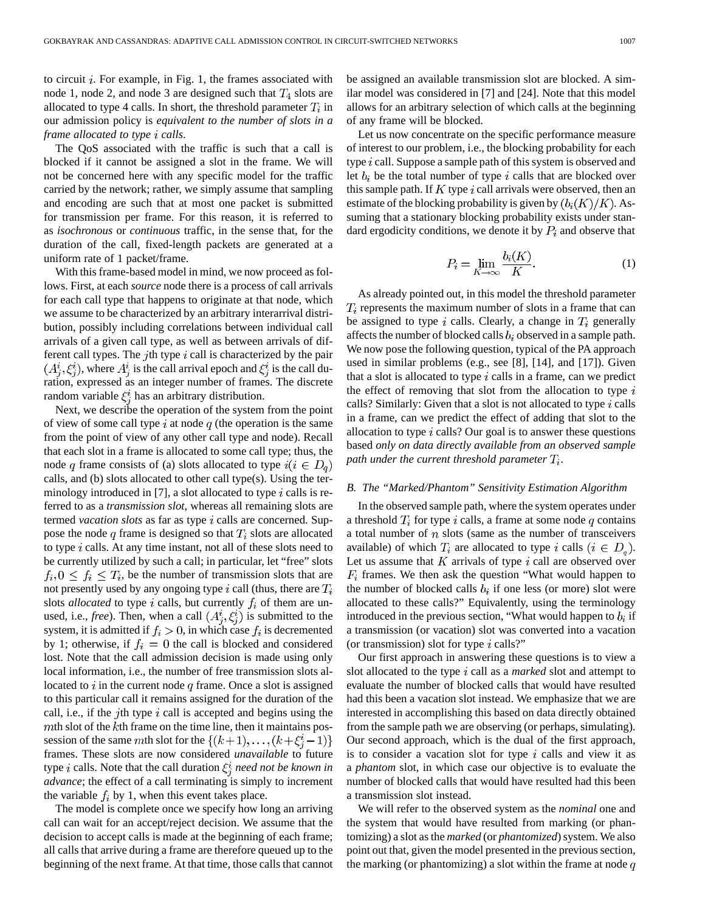to circuit  $i$ . For example, in Fig. 1, the frames associated with node 1, node 2, and node 3 are designed such that  $T_4$  slots are allocated to type 4 calls. In short, the threshold parameter  $T_i$  in our admission policy is *equivalent to the number of slots in a frame allocated to type <i>i* calls.

The QoS associated with the traffic is such that a call is blocked if it cannot be assigned a slot in the frame. We will not be concerned here with any specific model for the traffic carried by the network; rather, we simply assume that sampling and encoding are such that at most one packet is submitted for transmission per frame. For this reason, it is referred to as *isochronous* or *continuous* traffic, in the sense that, for the duration of the call, fixed-length packets are generated at a uniform rate of 1 packet/frame.

With this frame-based model in mind, we now proceed as follows. First, at each *source* node there is a process of call arrivals for each call type that happens to originate at that node, which we assume to be characterized by an arbitrary interarrival distribution, possibly including correlations between individual call arrivals of a given call type, as well as between arrivals of different call types. The jth type  $i$  call is characterized by the pair  $(A_i^i, \xi_i^i)$ , where  $A_i^i$  is the call arrival epoch and  $\xi_i^i$  is the call duration, expressed as an integer number of frames. The discrete random variable  $\xi_i^i$  has an arbitrary distribution.

Next, we describe the operation of the system from the point of view of some call type  $i$  at node  $q$  (the operation is the same from the point of view of any other call type and node). Recall that each slot in a frame is allocated to some call type; thus, the node q frame consists of (a) slots allocated to type  $i(i \in D<sub>a</sub>)$ calls, and (b) slots allocated to other call type(s). Using the terminology introduced in [7], a slot allocated to type  $i$  calls is referred to as a *transmission slot*, whereas all remaining slots are termed *vacation slots* as far as type *i* calls are concerned. Suppose the node q frame is designed so that  $T_i$  slots are allocated to type  $i$  calls. At any time instant, not all of these slots need to be currently utilized by such a call; in particular, let "free" slots  $f_i, 0 \leq f_i \leq T_i$ , be the number of transmission slots that are not presently used by any ongoing type  $i$  call (thus, there are  $T_i$ slots *allocated* to type  $i$  calls, but currently  $f_i$  of them are unused, i.e., *free*). Then, when a call  $(A_i^i, \xi_i^i)$  is submitted to the system, it is admitted if  $f_i > 0$ , in which case  $f_i$  is decremented by 1; otherwise, if  $f_i = 0$  the call is blocked and considered lost. Note that the call admission decision is made using only local information, i.e., the number of free transmission slots allocated to i in the current node  $q$  frame. Once a slot is assigned to this particular call it remains assigned for the duration of the call, i.e., if the jth type  $i$  call is accepted and begins using the  $m$ th slot of the  $k$ th frame on the time line, then it maintains possession of the same mth slot for the  $\{(k+1), \ldots, (k+\xi_i^i-1)\}$ frames. These slots are now considered *unavailable* to future type i calls. Note that the call duration  $\xi_i^i$  need not be known in *advance*; the effect of a call terminating is simply to increment the variable  $f_i$  by 1, when this event takes place.

The model is complete once we specify how long an arriving call can wait for an accept/reject decision. We assume that the decision to accept calls is made at the beginning of each frame; all calls that arrive during a frame are therefore queued up to the beginning of the next frame. At that time, those calls that cannot be assigned an available transmission slot are blocked. A similar model was considered in [7] and [24]. Note that this model allows for an arbitrary selection of which calls at the beginning of any frame will be blocked.

Let us now concentrate on the specific performance measure of interest to our problem, i.e., the blocking probability for each type  $i$  call. Suppose a sample path of this system is observed and let  $b_i$  be the total number of type i calls that are blocked over this sample path. If  $K$  type  $i$  call arrivals were observed, then an estimate of the blocking probability is given by  $(b_i(K)/K)$ . Assuming that a stationary blocking probability exists under standard ergodicity conditions, we denote it by  $P_i$  and observe that

$$
P_i = \lim_{K \to \infty} \frac{b_i(K)}{K}.
$$
 (1)

As already pointed out, in this model the threshold parameter  $T_i$  represents the maximum number of slots in a frame that can be assigned to type i calls. Clearly, a change in  $T_i$  generally affects the number of blocked calls  $b_i$  observed in a sample path. We now pose the following question, typical of the PA approach used in similar problems (e.g., see [8], [14], and [17]). Given that a slot is allocated to type  $i$  calls in a frame, can we predict the effect of removing that slot from the allocation to type  $i$ calls? Similarly: Given that a slot is not allocated to type  $i$  calls in a frame, can we predict the effect of adding that slot to the allocation to type  $i$  calls? Our goal is to answer these questions based *only on data directly available from an observed sample path under the current threshold parameter*  $T_i$ .

## *B. The "Marked/Phantom" Sensitivity Estimation Algorithm*

In the observed sample path, where the system operates under a threshold  $T_i$  for type i calls, a frame at some node q contains a total number of  $n$  slots (same as the number of transceivers available) of which  $T_i$  are allocated to type i calls  $(i \in D_a)$ . Let us assume that  $K$  arrivals of type  $i$  call are observed over  $F_i$  frames. We then ask the question "What would happen to the number of blocked calls  $b_i$  if one less (or more) slot were allocated to these calls?" Equivalently, using the terminology introduced in the previous section, "What would happen to  $b_i$  if a transmission (or vacation) slot was converted into a vacation (or transmission) slot for type  $i$  calls?"

Our first approach in answering these questions is to view a slot allocated to the type  $i$  call as a *marked* slot and attempt to evaluate the number of blocked calls that would have resulted had this been a vacation slot instead. We emphasize that we are interested in accomplishing this based on data directly obtained from the sample path we are observing (or perhaps, simulating). Our second approach, which is the dual of the first approach, is to consider a vacation slot for type  $i$  calls and view it as a *phantom* slot, in which case our objective is to evaluate the number of blocked calls that would have resulted had this been a transmission slot instead.

We will refer to the observed system as the *nominal* one and the system that would have resulted from marking (or phantomizing) a slot as the *marked* (or *phantomized*) system. We also point out that, given the model presented in the previous section, the marking (or phantomizing) a slot within the frame at node  $q$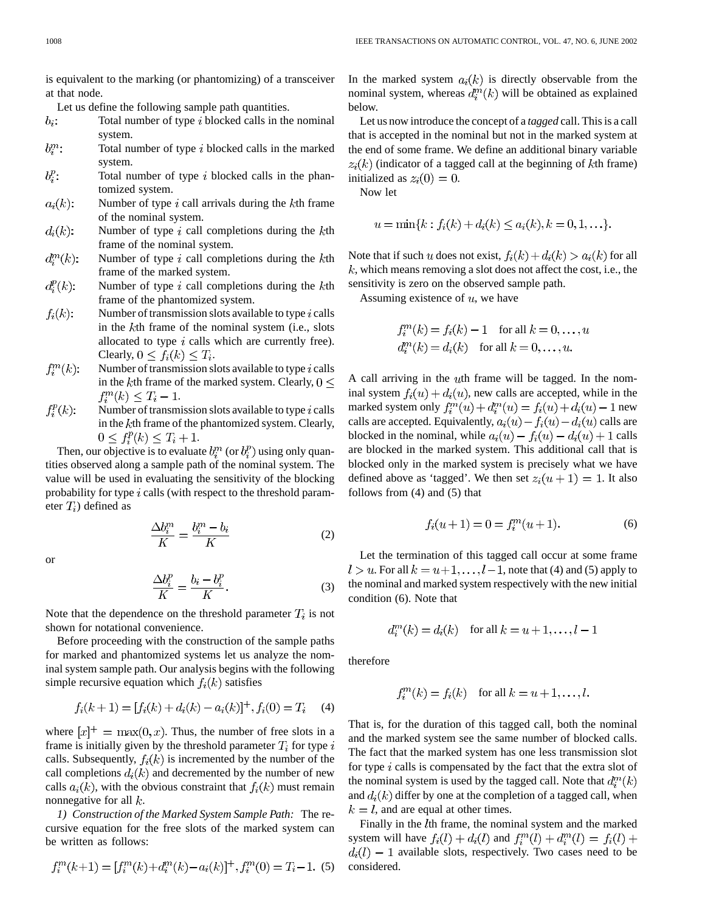is equivalent to the marking (or phantomizing) of a transceiver at that node.

Let us define the following sample path quantities.

- $b_i$ : Total number of type  $i$  blocked calls in the nominal system.
- $b_i^m$ : Total number of type  $i$  blocked calls in the marked system.
- $b_i^p$ : Total number of type  $i$  blocked calls in the phantomized system.
- $a_i(k)$ : Number of type  $i$  call arrivals during the  $k$ th frame of the nominal system.
- $d_i(k)$ : Number of type  $i$  call completions during the  $k$ th frame of the nominal system.
- $d_i^m(k)$ : Number of type  $i$  call completions during the  $k$ th frame of the marked system.
- Number of type  $i$  call completions during the  $k$ th  $d_i^p(k)$ : frame of the phantomized system.
- $f_i(k)$ : Number of transmission slots available to type  $i$  calls in the k<sup>th</sup> frame of the nominal system (i.e., slots allocated to type  $i$  calls which are currently free). Clearly,  $0 \leq f_i(k) \leq T_i$ .
- $f_i^m(k)$ : Number of transmission slots available to type  $i$  calls in the kth frame of the marked system. Clearly,  $0 \le$  $f_i^m(k) \leq T_i - 1.$
- $f_i^p(k)$ : Number of transmission slots available to type  $i$  calls in the kth frame of the phantomized system. Clearly,  $0 \leq f_i^p(k) \leq T_i + 1.$

Then, our objective is to evaluate  $b_i^m$  (or  $b_i^p$ ) using only quantities observed along a sample path of the nominal system. The value will be used in evaluating the sensitivity of the blocking probability for type  $i$  calls (with respect to the threshold parameter  $T_i$ ) defined as

$$
\frac{\Delta b_i^m}{K} = \frac{b_i^m - b_i}{K} \tag{2}
$$

or

$$
\frac{\Delta b_i^p}{K} = \frac{b_i - b_i^p}{K}.\tag{3}
$$

Note that the dependence on the threshold parameter  $T_i$  is not shown for notational convenience.

Before proceeding with the construction of the sample paths for marked and phantomized systems let us analyze the nominal system sample path. Our analysis begins with the following simple recursive equation which  $f_i(k)$  satisfies

$$
f_i(k+1) = [f_i(k) + d_i(k) - a_i(k)]^+, f_i(0) = T_i \tag{4}
$$

where  $[x]^+$  = max $(0, x)$ . Thus, the number of free slots in a frame is initially given by the threshold parameter  $T_i$  for type i calls. Subsequently,  $f_i(k)$  is incremented by the number of the call completions  $d_i(k)$  and decremented by the number of new calls  $a_i(k)$ , with the obvious constraint that  $f_i(k)$  must remain nonnegative for all  $k$ .

*1) Construction of the Marked System Sample Path:* The recursive equation for the free slots of the marked system can be written as follows:

$$
f_i^m(k+1) = [f_i^m(k) + d_i^m(k) - a_i(k)]^+, f_i^m(0) = T_i - 1.
$$
 (5)

In the marked system  $a_i(k)$  is directly observable from the nominal system, whereas  $d_i^m(k)$  will be obtained as explained below.

Let us now introduce the concept of a *tagged* call. This is a call that is accepted in the nominal but not in the marked system at the end of some frame. We define an additional binary variable  $z_i(k)$  (indicator of a tagged call at the beginning of kth frame) initialized as  $z_i(0) = 0$ .

Now let

$$
u = \min\{k : f_i(k) + d_i(k) \le a_i(k), k = 0, 1, \ldots\}.
$$

Note that if such u does not exist,  $f_i(k) + d_i(k) > a_i(k)$  for all  $k$ , which means removing a slot does not affect the cost, i.e., the sensitivity is zero on the observed sample path.

Assuming existence of  $u$ , we have

$$
f_i^m(k) = f_i(k) - 1 \quad \text{for all } k = 0, \dots, u
$$
  

$$
d_i^m(k) = d_i(k) \quad \text{for all } k = 0, \dots, u.
$$

A call arriving in the uth frame will be tagged. In the nominal system  $f_i(u) + d_i(u)$ , new calls are accepted, while in the marked system only  $f_i^m(u) + d_i^m(u) = f_i(u) + d_i(u) - 1$  new calls are accepted. Equivalently,  $a_i(u) - f_i(u) - d_i(u)$  calls are blocked in the nominal, while  $a_i(u) - f_i(u) - d_i(u) + 1$  calls are blocked in the marked system. This additional call that is blocked only in the marked system is precisely what we have defined above as 'tagged'. We then set  $z_i(u + 1) = 1$ . It also follows from (4) and (5) that

$$
f_i(u+1) = 0 = f_i^m(u+1).
$$
 (6)

Let the termination of this tagged call occur at some frame  $l > u$ . For all  $k = u+1, \ldots, l-1$ , note that (4) and (5) apply to the nominal and marked system respectively with the new initial condition (6). Note that

$$
d_i^m(k) = d_i(k)
$$
 for all  $k = u + 1, ..., l - 1$ 

therefore

$$
f_i^m(k) = f_i(k) \quad \text{for all } k = u+1, \dots, l
$$

That is, for the duration of this tagged call, both the nominal and the marked system see the same number of blocked calls. The fact that the marked system has one less transmission slot for type  $i$  calls is compensated by the fact that the extra slot of the nominal system is used by the tagged call. Note that  $d_i^m(k)$ and  $d_i(k)$  differ by one at the completion of a tagged call, when  $k = l$ , and are equal at other times.

Finally in the *l*th frame, the nominal system and the marked system will have  $f_i(l) + d_i(l)$  and  $f_i^m(l) + d_i^m(l) = f_i(l) +$  $d_i(l) - 1$  available slots, respectively. Two cases need to be considered.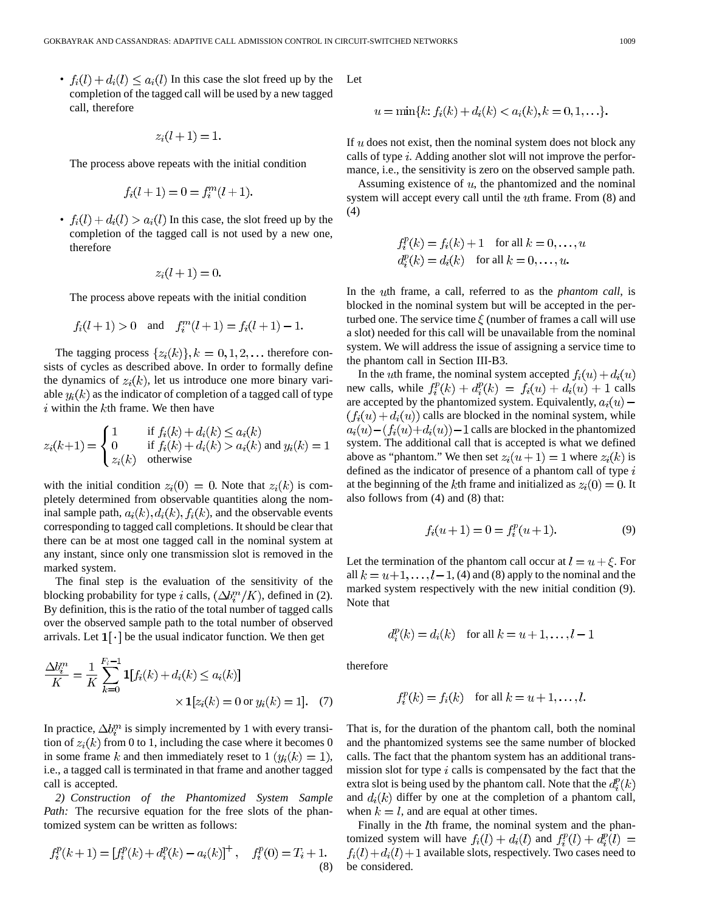•  $f_i(l) + d_i(l) \le a_i(l)$  In this case the slot freed up by the completion of the tagged call will be used by a new tagged call, therefore

$$
z_i(l+1) = 1.
$$

The process above repeats with the initial condition

$$
f_i(l+1) = 0 = f_i^m(l+1).
$$

•  $f_i(l) + d_i(l) > a_i(l)$  In this case, the slot freed up by the completion of the tagged call is not used by a new one, therefore

$$
z_i(l+1)=0.
$$

The process above repeats with the initial condition

$$
f_i(l+1) > 0
$$
 and  $f_i^m(l+1) = f_i(l+1) - 1$ .

The tagging process  $\{z_i(k)\}\$ ,  $k = 0, 1, 2, \dots$  therefore consists of cycles as described above. In order to formally define the dynamics of  $z_i(k)$ , let us introduce one more binary variable  $y_i(k)$  as the indicator of completion of a tagged call of type  $i$  within the  $k$ th frame. We then have

$$
z_i(k+1) = \begin{cases} 1 & \text{if } f_i(k) + d_i(k) \le a_i(k) \\ 0 & \text{if } f_i(k) + d_i(k) > a_i(k) \text{ and } y_i(k) = 1 \\ z_i(k) & \text{otherwise} \end{cases}
$$

with the initial condition  $z_i(0) = 0$ . Note that  $z_i(k)$  is completely determined from observable quantities along the nominal sample path,  $a_i(k)$ ,  $d_i(k)$ ,  $f_i(k)$ , and the observable events corresponding to tagged call completions. It should be clear that there can be at most one tagged call in the nominal system at any instant, since only one transmission slot is removed in the marked system.

The final step is the evaluation of the sensitivity of the blocking probability for type i calls,  $(\Delta b_i^m/K)$ , defined in (2). By definition, this is the ratio of the total number of tagged calls over the observed sample path to the total number of observed arrivals. Let  $\mathbf{1}[\cdot]$  be the usual indicator function. We then get

$$
\frac{\Delta b_i^m}{K} = \frac{1}{K} \sum_{k=0}^{F_i - 1} \mathbf{1}[f_i(k) + d_i(k) \le a_i(k)] \times \mathbf{1}[z_i(k) = 0 \text{ or } y_i(k) = 1]. \tag{7}
$$

In practice,  $\Delta b_i^m$  is simply incremented by 1 with every transition of  $z_i(k)$  from 0 to 1, including the case where it becomes 0 in some frame k and then immediately reset to  $1 (y_i(k) = 1)$ , i.e., a tagged call is terminated in that frame and another tagged call is accepted.

*2) Construction of the Phantomized System Sample Path:* The recursive equation for the free slots of the phantomized system can be written as follows:

$$
f_i^p(k+1) = [f_i^p(k) + d_i^p(k) - a_i(k)]^+, \quad f_i^p(0) = T_i + 1.
$$
\n(8)

Let

$$
u = \min\{k: f_i(k) + d_i(k) < a_i(k), k = 0, 1, \ldots\}.
$$

If  $u$  does not exist, then the nominal system does not block any calls of type  $i$ . Adding another slot will not improve the performance, i.e., the sensitivity is zero on the observed sample path.

Assuming existence of  $u$ , the phantomized and the nominal system will accept every call until the *th frame. From (8) and* (4)

$$
f_i^p(k) = f_i(k) + 1 \quad \text{for all } k = 0, \dots, u
$$
  

$$
d_i^p(k) = d_i(k) \quad \text{for all } k = 0, \dots, u.
$$

In the *uth* frame, a call, referred to as the *phantom call*, is blocked in the nominal system but will be accepted in the perturbed one. The service time  $\xi$  (number of frames a call will use a slot) needed for this call will be unavailable from the nominal system. We will address the issue of assigning a service time to the phantom call in Section III-B3.

In the *u*th frame, the nominal system accepted  $f_i(u) + d_i(u)$ new calls, while  $f_i^p(k) + d_i^p(k) = f_i(u) + d_i(u) + 1$  calls are accepted by the phantomized system. Equivalently,  $a_i(u)$  –  $(f_i(u) + d_i(u))$  calls are blocked in the nominal system, while  $a_i(u) - (f_i(u) + d_i(u)) - 1$  calls are blocked in the phantomized system. The additional call that is accepted is what we defined above as "phantom." We then set  $z_i(u+1) = 1$  where  $z_i(k)$  is defined as the indicator of presence of a phantom call of type  $i$ at the beginning of the kth frame and initialized as  $z_i(0) = 0$ . It also follows from (4) and (8) that:

$$
f_i(u+1) = 0 = f_i^p(u+1).
$$
 (9)

Let the termination of the phantom call occur at  $l = u + \xi$ . For all  $k = u+1, \ldots, l-1$ , (4) and (8) apply to the nominal and the marked system respectively with the new initial condition (9). Note that

$$
d_i^p(k) = d_i(k)
$$
 for all  $k = u + 1, ..., l - 1$ 

therefore

$$
f_i^p(k) = f_i(k) \quad \text{for all } k = u+1, \dots, l.
$$

That is, for the duration of the phantom call, both the nominal and the phantomized systems see the same number of blocked calls. The fact that the phantom system has an additional transmission slot for type  $i$  calls is compensated by the fact that the extra slot is being used by the phantom call. Note that the  $d_i^p(k)$ and  $d_i(k)$  differ by one at the completion of a phantom call, when  $k = l$ , and are equal at other times.

Finally in the  $l$ th frame, the nominal system and the phantomized system will have  $f_i(l) + d_i(l)$  and  $f_i^p(l) + d_i^p(l) =$  $f_i(l) + d_i(l) + 1$  available slots, respectively. Two cases need to be considered.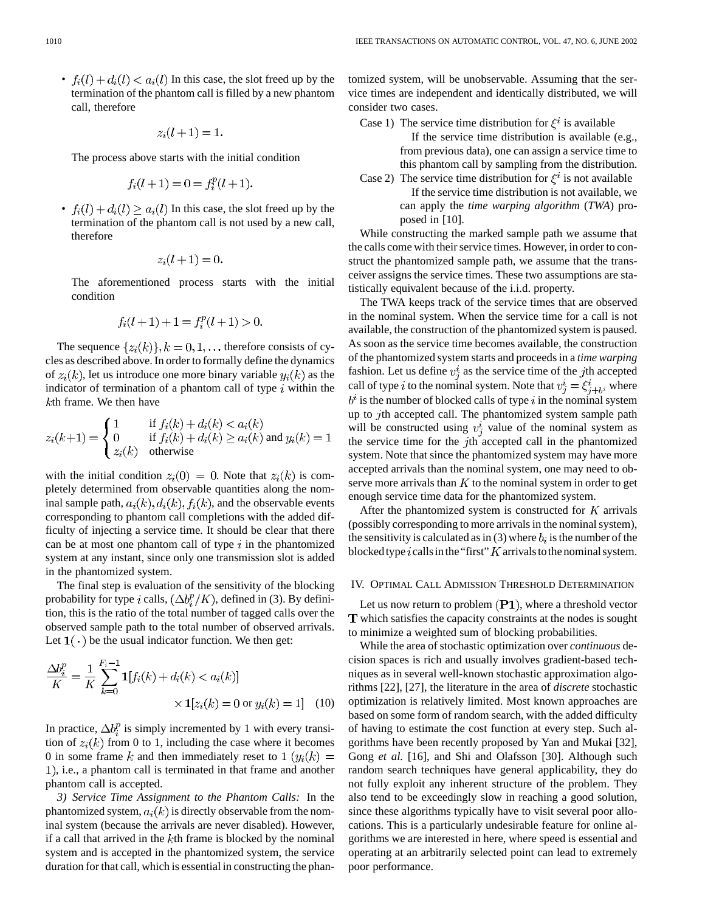•  $f_i(l) + d_i(l) < a_i(l)$  In this case, the slot freed up by the termination of the phantom call is filled by a new phantom call, therefore

$$
z_i(l+1)=1.
$$

The process above starts with the initial condition

$$
f_i(l+1) = 0 = f_i^p(l+1).
$$

•  $f_i(l) + d_i(l) \ge a_i(l)$  In this case, the slot freed up by the termination of the phantom call is not used by a new call, therefore

$$
z_i(l+1)=0.
$$

The aforementioned process starts with the initial condition

$$
f_i(l+1) + 1 = f_i^p(l+1) > 0.
$$

The sequence  $\{z_i(k)\}\$ ,  $k = 0, 1, \ldots$  therefore consists of cycles as described above. In order to formally define the dynamics of  $z_i(k)$ , let us introduce one more binary variable  $y_i(k)$  as the indicator of termination of a phantom call of type  $i$  within the kth frame. We then have

$$
z_i(k+1) = \begin{cases} 1 & \text{if } f_i(k) + d_i(k) < a_i(k) \\ 0 & \text{if } f_i(k) + d_i(k) \ge a_i(k) \text{ and } y_i(k) = 1 \\ z_i(k) & \text{otherwise} \end{cases}
$$

with the initial condition  $z_i(0) = 0$ . Note that  $z_i(k)$  is completely determined from observable quantities along the nominal sample path,  $a_i(k)$ ,  $d_i(k)$ ,  $f_i(k)$ , and the observable events corresponding to phantom call completions with the added difficulty of injecting a service time. It should be clear that there can be at most one phantom call of type  $i$  in the phantomized system at any instant, since only one transmission slot is added in the phantomized system.

The final step is evaluation of the sensitivity of the blocking probability for type i calls,  $(\Delta b_i^p/K)$ , defined in (3). By definition, this is the ratio of the total number of tagged calls over the observed sample path to the total number of observed arrivals. Let  $\mathbf{1}(\cdot)$  be the usual indicator function. We then get:

$$
\frac{\Delta b_i^p}{K} = \frac{1}{K} \sum_{k=0}^{F_i - 1} \mathbf{1}[f_i(k) + d_i(k) < a_i(k)] \times \mathbf{1}[z_i(k) = 0 \text{ or } y_i(k) = 1] \tag{10}
$$

In practice,  $\Delta b_i^p$  is simply incremented by 1 with every transition of  $z<sub>i</sub>(k)$  from 0 to 1, including the case where it becomes 0 in some frame k and then immediately reset to 1  $(y_i(k))$ 1), i.e., a phantom call is terminated in that frame and another phantom call is accepted.

*3) Service Time Assignment to the Phantom Calls:* In the phantomized system,  $a_i(k)$  is directly observable from the nominal system (because the arrivals are never disabled). However, if a call that arrived in the  $k$ th frame is blocked by the nominal system and is accepted in the phantomized system, the service duration for that call, which is essential in constructing the phantomized system, will be unobservable. Assuming that the service times are independent and identically distributed, we will consider two cases.

- Case 1) The service time distribution for  $\xi^i$  is available If the service time distribution is available (e.g., from previous data), one can assign a service time to this phantom call by sampling from the distribution.
- Case 2) The service time distribution for  $\xi^{i}$  is not available If the service time distribution is not available, we can apply the *time warping algorithm* (*TWA*) proposed in [10].

While constructing the marked sample path we assume that the calls come with their service times. However, in order to construct the phantomized sample path, we assume that the transceiver assigns the service times. These two assumptions are statistically equivalent because of the i.i.d. property.

The TWA keeps track of the service times that are observed in the nominal system. When the service time for a call is not available, the construction of the phantomized system is paused. As soon as the service time becomes available, the construction of the phantomized system starts and proceeds in a *time warping* fashion. Let us define  $v_j^i$  as the service time of the jth accepted call of type i to the nominal system. Note that  $v_j^i = \xi_{j+b^i}^i$  where  $b<sup>i</sup>$  is the number of blocked calls of type i in the nominal system up to  $j$ th accepted call. The phantomized system sample path will be constructed using  $v_i^i$  value of the nominal system as the service time for the  $j$ th accepted call in the phantomized system. Note that since the phantomized system may have more accepted arrivals than the nominal system, one may need to observe more arrivals than  $K$  to the nominal system in order to get enough service time data for the phantomized system.

After the phantomized system is constructed for  $K$  arrivals (possibly corresponding to more arrivals in the nominal system), the sensitivity is calculated as in (3) where  $b_i$  is the number of the blocked type  $i$  calls in the "first"  $K$  arrivals to the nominal system.

## IV. OPTIMAL CALL ADMISSION THRESHOLD DETERMINATION

Let us now return to problem  $(PI)$ , where a threshold vector **T** which satisfies the capacity constraints at the nodes is sought to minimize a weighted sum of blocking probabilities.

While the area of stochastic optimization over *continuous* decision spaces is rich and usually involves gradient-based techniques as in several well-known stochastic approximation algorithms [22], [27], the literature in the area of *discrete* stochastic optimization is relatively limited. Most known approaches are based on some form of random search, with the added difficulty of having to estimate the cost function at every step. Such algorithms have been recently proposed by Yan and Mukai [32], Gong *et al.* [16], and Shi and Olafsson [30]. Although such random search techniques have general applicability, they do not fully exploit any inherent structure of the problem. They also tend to be exceedingly slow in reaching a good solution, since these algorithms typically have to visit several poor allocations. This is a particularly undesirable feature for online algorithms we are interested in here, where speed is essential and operating at an arbitrarily selected point can lead to extremely poor performance.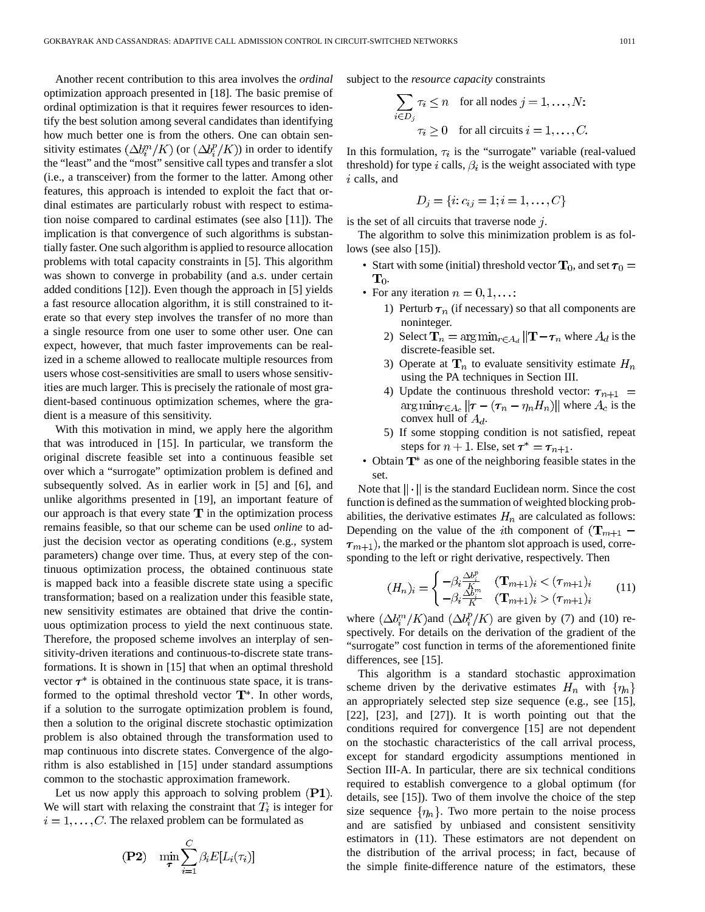Another recent contribution to this area involves the *ordinal* optimization approach presented in [18]. The basic premise of ordinal optimization is that it requires fewer resources to identify the best solution among several candidates than identifying how much better one is from the others. One can obtain sensitivity estimates  $(\Delta b_i^m/K)$  (or  $(\Delta b_i^p/K)$ ) in order to identify the "least" and the "most" sensitive call types and transfer a slot (i.e., a transceiver) from the former to the latter. Among other features, this approach is intended to exploit the fact that ordinal estimates are particularly robust with respect to estimation noise compared to cardinal estimates (see also [11]). The implication is that convergence of such algorithms is substantially faster. One such algorithm is applied to resource allocation problems with total capacity constraints in [5]. This algorithm was shown to converge in probability (and a.s. under certain added conditions [12]). Even though the approach in [5] yields a fast resource allocation algorithm, it is still constrained to iterate so that every step involves the transfer of no more than a single resource from one user to some other user. One can expect, however, that much faster improvements can be realized in a scheme allowed to reallocate multiple resources from users whose cost-sensitivities are small to users whose sensitivities are much larger. This is precisely the rationale of most gradient-based continuous optimization schemes, where the gradient is a measure of this sensitivity.

With this motivation in mind, we apply here the algorithm that was introduced in [15]. In particular, we transform the original discrete feasible set into a continuous feasible set over which a "surrogate" optimization problem is defined and subsequently solved. As in earlier work in [5] and [6], and unlike algorithms presented in [19], an important feature of our approach is that every state  $T$  in the optimization process remains feasible, so that our scheme can be used *online* to adjust the decision vector as operating conditions (e.g., system parameters) change over time. Thus, at every step of the continuous optimization process, the obtained continuous state is mapped back into a feasible discrete state using a specific transformation; based on a realization under this feasible state, new sensitivity estimates are obtained that drive the continuous optimization process to yield the next continuous state. Therefore, the proposed scheme involves an interplay of sensitivity-driven iterations and continuous-to-discrete state transformations. It is shown in [15] that when an optimal threshold vector  $\tau^*$  is obtained in the continuous state space, it is transformed to the optimal threshold vector  $\mathbf{T}^*$ . In other words, if a solution to the surrogate optimization problem is found, then a solution to the original discrete stochastic optimization problem is also obtained through the transformation used to map continuous into discrete states. Convergence of the algorithm is also established in [15] under standard assumptions common to the stochastic approximation framework.

Let us now apply this approach to solving problem  $(PI)$ . We will start with relaxing the constraint that  $T_i$  is integer for  $i = 1, \ldots, C$ . The relaxed problem can be formulated as

$$
(\textbf{P2})\quad\min_{\boldsymbol{\tau}}\sum_{i=1}^C\beta_iE[L_i(\tau_i)]
$$

subject to the *resource capacity* constraints

$$
\sum_{i \in D_j} \tau_i \le n \quad \text{for all nodes } j = 1, \dots, N:
$$
  

$$
\tau_i \ge 0 \quad \text{for all circuits } i = 1, \dots, C.
$$

In this formulation,  $\tau_i$  is the "surrogate" variable (real-valued threshold) for type i calls,  $\beta_i$  is the weight associated with type  $i$  calls, and

$$
D_j = \{i : c_{ij} = 1; i = 1, \dots, C\}
$$

is the set of all circuits that traverse node  $j$ .

The algorithm to solve this minimization problem is as follows (see also [15]).

- Start with some (initial) threshold vector  $T_0$ , and set  $\tau_0 =$  $\mathbf{T}_0$ .
- For any iteration  $n = 0, 1, \dots$ :
	- 1) Perturb  $\tau_n$  (if necessary) so that all components are noninteger.
	- 2) Select  $\mathbf{T}_n = \arg \min_{r \in A_d} ||\mathbf{T} \tau_n$  where  $A_d$  is the discrete-feasible set.
	- 3) Operate at  $\mathbf{T}_n$  to evaluate sensitivity estimate  $H_n$ using the PA techniques in Section III.
	- 4) Update the continuous threshold vector:  $\tau_{n+1}$  =  $\arg \min_{\tau \in A_c} ||\tau - (\tau_n - \eta_n H_n)||$  where  $A_c$  is the convex hull of  $A_d$ .
	- 5) If some stopping condition is not satisfied, repeat steps for  $n + 1$ . Else, set  $\tau^* = \tau_{n+1}$ .
- Obtain  $T^*$  as one of the neighboring feasible states in the set.

Note that  $\|\cdot\|$  is the standard Euclidean norm. Since the cost function is defined as the summation of weighted blocking probabilities, the derivative estimates  $H_n$  are calculated as follows: Depending on the value of the *i*th component of  $(\mathbf{T}_{m+1}$  –  $\tau_{m+1}$ ), the marked or the phantom slot approach is used, corresponding to the left or right derivative, respectively. Then

$$
(H_n)_i = \begin{cases} -\beta_i \frac{\Delta b_i^p}{K} & (\mathbf{T}_{m+1})_i < (\tau_{m+1})_i \\ -\beta_i \frac{\Delta b_i^m}{K} & (\mathbf{T}_{m+1})_i > (\tau_{m+1})_i \end{cases} \tag{11}
$$

where  $(\Delta b_i^m/K)$  and  $(\Delta b_i^p/K)$  are given by (7) and (10) respectively. For details on the derivation of the gradient of the "surrogate" cost function in terms of the aforementioned finite differences, see [15].

This algorithm is a standard stochastic approximation scheme driven by the derivative estimates  $H_n$  with  $\{\eta_n\}$ an appropriately selected step size sequence (e.g., see [15], [22], [23], and [27]). It is worth pointing out that the conditions required for convergence [15] are not dependent on the stochastic characteristics of the call arrival process, except for standard ergodicity assumptions mentioned in Section III-A. In particular, there are six technical conditions required to establish convergence to a global optimum (for details, see [15]). Two of them involve the choice of the step size sequence  $\{\eta_n\}$ . Two more pertain to the noise process and are satisfied by unbiased and consistent sensitivity estimators in (11). These estimators are not dependent on the distribution of the arrival process; in fact, because of the simple finite-difference nature of the estimators, these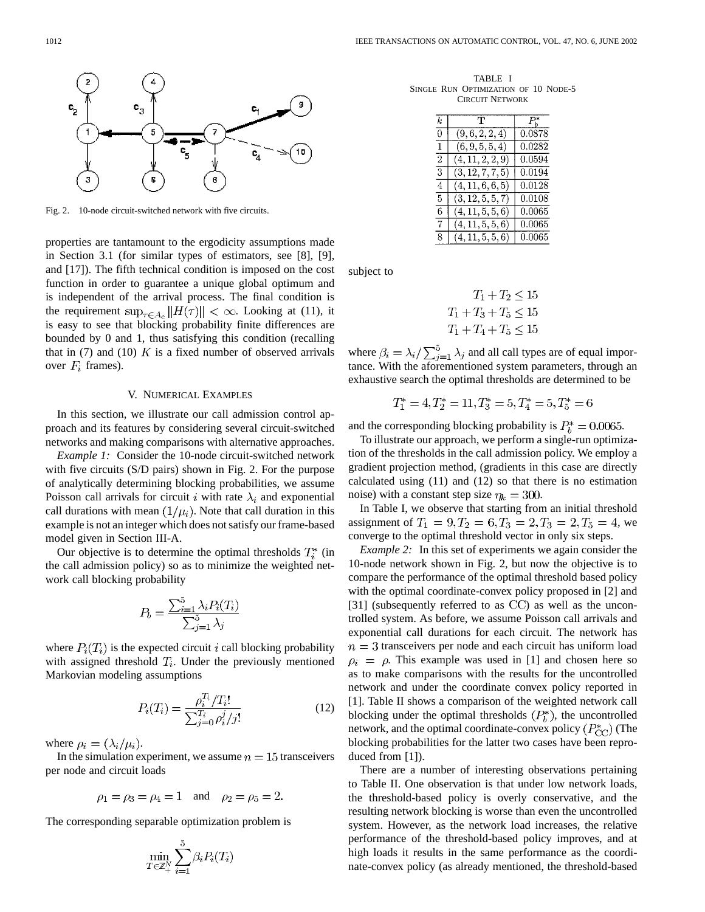

Fig. 2. 10-node circuit-switched network with five circuits.

properties are tantamount to the ergodicity assumptions made in Section 3.1 (for similar types of estimators, see [8], [9], and [17]). The fifth technical condition is imposed on the cost function in order to guarantee a unique global optimum and is independent of the arrival process. The final condition is the requirement  $\sup_{\tau \in A_c} ||H(\tau)|| < \infty$ . Looking at (11), it is easy to see that blocking probability finite differences are bounded by 0 and 1, thus satisfying this condition (recalling that in  $(7)$  and  $(10)$  K is a fixed number of observed arrivals over  $F_i$  frames).

#### V. NUMERICAL EXAMPLES

In this section, we illustrate our call admission control approach and its features by considering several circuit-switched networks and making comparisons with alternative approaches.

*Example 1:* Consider the 10-node circuit-switched network with five circuits (S/D pairs) shown in Fig. 2. For the purpose of analytically determining blocking probabilities, we assume Poisson call arrivals for circuit i with rate  $\lambda_i$  and exponential call durations with mean  $(1/\mu_i)$ . Note that call duration in this example is not an integer which does not satisfy our frame-based model given in Section III-A.

Our objective is to determine the optimal thresholds  $T_i^*$  (in the call admission policy) so as to minimize the weighted network call blocking probability

$$
P_b = \frac{\sum_{i=1}^{5} \lambda_i P_i(T_i)}{\sum_{j=1}^{5} \lambda_j}
$$

where  $P_i(T_i)$  is the expected circuit i call blocking probability with assigned threshold  $T_i$ . Under the previously mentioned Markovian modeling assumptions

$$
P_i(T_i) = \frac{\rho_i^{T_i}/T_i!}{\sum_{j=0}^{T_i} \rho_i^j/j!}
$$
 (12)

where  $\rho_i = (\lambda_i/\mu_i)$ .

In the simulation experiment, we assume  $n = 15$  transceivers per node and circuit loads

$$
\rho_1 = \rho_3 = \rho_4 = 1
$$
 and  $\rho_2 = \rho_5 = 2$ .

The corresponding separable optimization problem is

$$
\min_{T \in \mathbb{Z}_+^N} \sum_{i=1}^5 \beta_i P_i(T_i)
$$

TABLE I SINGLE RUN OPTIMIZATION OF 10 NODE-5 CIRCUIT NETWORK

| k.             | т                |        |
|----------------|------------------|--------|
| 0              | (9,6,2,2,4)      | 0.0878 |
| 1              | (6, 9, 5, 5, 4)  | 0.0282 |
| $\overline{2}$ | (4, 11, 2, 2, 9) | 0.0594 |
| 3              | (3, 12, 7, 7, 5) | 0.0194 |
| 4              | (4, 11, 6, 6, 5) | 0.0128 |
| 5              | (3, 12, 5, 5, 7) | 0.0108 |
| 6              | (4, 11, 5, 5, 6) | 0.0065 |
| 7              | (4, 11, 5, 5, 6) | 0.0065 |
| 8              | (4, 11, 5, 5, 6) | 0.0065 |

subject to

$$
T_1 + T_2 \le 15
$$
  

$$
T_1 + T_3 + T_5 \le 15
$$
  

$$
T_1 + T_4 + T_5 \le 15
$$

 $\overline{a}$ 

where  $\beta_i = \lambda_i / \sum_{j=1}^5 \lambda_j$  and all call types are of equal importance. With the aforementioned system parameters, through an exhaustive search the optimal thresholds are determined to be

$$
T_1^*=4, T_2^*=11, T_3^*=5, T_4^*=5, T_5^*=6\\
$$

and the corresponding blocking probability is  $P_b^* = 0.0065$ .

To illustrate our approach, we perform a single-run optimization of the thresholds in the call admission policy. We employ a gradient projection method, (gradients in this case are directly calculated using (11) and (12) so that there is no estimation noise) with a constant step size  $\eta_k = 300$ .

In Table I, we observe that starting from an initial threshold assignment of  $T_1 = 9, T_2 = 6, T_3 = 2, T_3 = 2, T_5 = 4$ , we converge to the optimal threshold vector in only six steps.

*Example 2:* In this set of experiments we again consider the 10-node network shown in Fig. 2, but now the objective is to compare the performance of the optimal threshold based policy with the optimal coordinate-convex policy proposed in [2] and [31] (subsequently referred to as  $CC$ ) as well as the uncontrolled system. As before, we assume Poisson call arrivals and exponential call durations for each circuit. The network has  $n=3$  transceivers per node and each circuit has uniform load  $\rho_i = \rho$ . This example was used in [1] and chosen here so as to make comparisons with the results for the uncontrolled network and under the coordinate convex policy reported in [1]. Table II shows a comparison of the weighted network call blocking under the optimal thresholds  $(P_h^*)$ , the uncontrolled network, and the optimal coordinate-convex policy  $(P_{\text{CC}}^*)$  (The blocking probabilities for the latter two cases have been reproduced from [1]).

There are a number of interesting observations pertaining to Table II. One observation is that under low network loads, the threshold-based policy is overly conservative, and the resulting network blocking is worse than even the uncontrolled system. However, as the network load increases, the relative performance of the threshold-based policy improves, and at high loads it results in the same performance as the coordinate-convex policy (as already mentioned, the threshold-based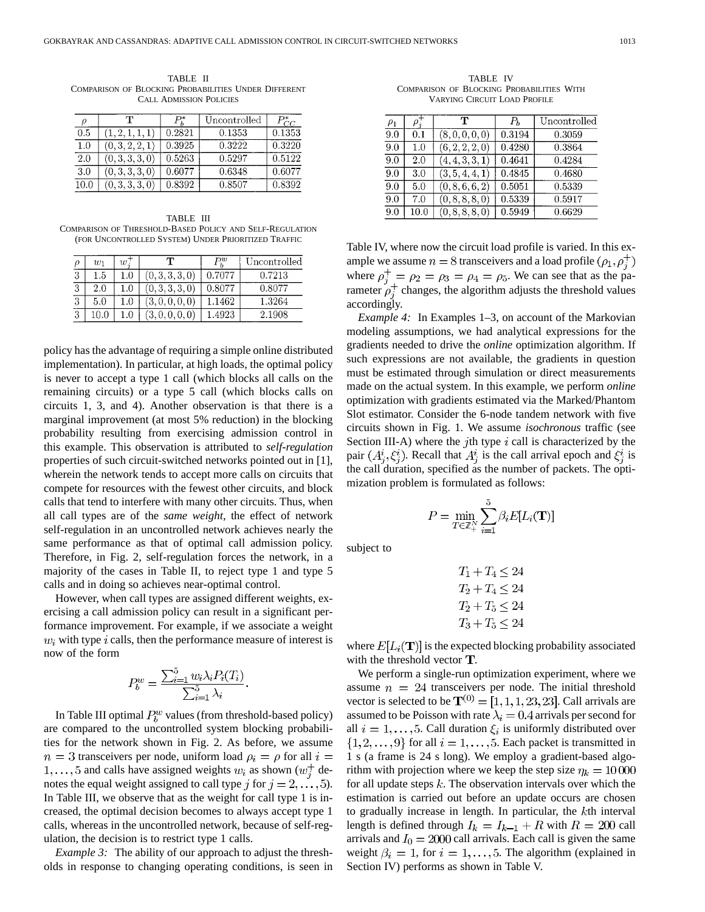TABLE II COMPARISON OF BLOCKING PROBABILITIES UNDER DIFFERENT CALL ADMISSION POLICIES

| Ω    | Т               |        | Uncontrolled | ${}^{\mathbf{D}^*_{CC}}$ |
|------|-----------------|--------|--------------|--------------------------|
| 0.5  | [1, 2, 1, 1, 1] | 0.2821 | 0.1353       | 0.1353                   |
| 1.0  | (0, 3, 2, 2, 1) | 0.3925 | 0.3222       | 0.3220                   |
| 2.0  | (0, 3, 3, 3, 0) | 0.5263 | 0.5297       | 0.5122                   |
| 3.0  | (0,3,3,3,0)     | 0.6077 | 0.6348       | 0.6077                   |
| 10.0 | [0, 3, 3, 3, 0] | 0.8392 | 0.8507       | 0.8392                   |

TABLE III COMPARISON OF THRESHOLD-BASED POLICY AND SELF-REGULATION (FOR UNCONTROLLED SYSTEM) UNDER PRIORITIZED TRAFFIC

| ρ | $w_1$ | w       |                 | $P_b^w$ | Uncontrolled |
|---|-------|---------|-----------------|---------|--------------|
| 3 | 1.5   |         | (0, 3, 3, 3, 0) | 0.7077  | 0.7213       |
| 3 | 2.0   |         | (0, 3, 3, 3, 0) | 0.8077  | 0.8077       |
| 3 | 5.0   | $1.0\,$ | (3,0,0,0,0)     | 1.1462  | 1.3264       |
|   |       |         |                 | 1.4923  | 2.1908       |

policy has the advantage of requiring a simple online distributed implementation). In particular, at high loads, the optimal policy is never to accept a type 1 call (which blocks all calls on the remaining circuits) or a type 5 call (which blocks calls on circuits 1, 3, and 4). Another observation is that there is a marginal improvement (at most 5% reduction) in the blocking probability resulting from exercising admission control in this example. This observation is attributed to *self-regulation* properties of such circuit-switched networks pointed out in [1], wherein the network tends to accept more calls on circuits that compete for resources with the fewest other circuits, and block calls that tend to interfere with many other circuits. Thus, when all call types are of the *same weight*, the effect of network self-regulation in an uncontrolled network achieves nearly the same performance as that of optimal call admission policy. Therefore, in Fig. 2, self-regulation forces the network, in a majority of the cases in Table II, to reject type 1 and type 5 calls and in doing so achieves near-optimal control.

However, when call types are assigned different weights, exercising a call admission policy can result in a significant performance improvement. For example, if we associate a weight  $w_i$  with type i calls, then the performance measure of interest is now of the form

$$
P_b^w = \frac{\sum_{i=1}^5 w_i \lambda_i P_i(T_i)}{\sum_{i=1}^5 \lambda_i}
$$

In Table III optimal  $P_b^w$  values (from threshold-based policy) are compared to the uncontrolled system blocking probabilities for the network shown in Fig. 2. As before, we assume  $n=3$  transceivers per node, uniform load  $\rho_i = \rho$  for all  $i=$  $1, \ldots, 5$  and calls have assigned weights  $w_i$  as shown ( $w_i^+$  denotes the equal weight assigned to call type j for  $j = 2, \ldots, 5$ . In Table III, we observe that as the weight for call type 1 is increased, the optimal decision becomes to always accept type 1 calls, whereas in the uncontrolled network, because of self-regulation, the decision is to restrict type 1 calls.

*Example 3:* The ability of our approach to adjust the thresholds in response to changing operating conditions, is seen in

TABLE IV COMPARISON OF BLOCKING PROBABILITIES WITH VARYING CIRCUIT LOAD PROFILE

| $\rho_1$ |      | т               | $P_{h}$ | Uncontrolled |
|----------|------|-----------------|---------|--------------|
| 9.0      | 0.1  | (8,0,0,0,0)     | 0.3194  | 0.3059       |
| 9.0      | 1.0  | (6, 2, 2, 2, 0) | 0.4280  | 0.3864       |
| 9.0      | 2.0  | (4, 4, 3, 3, 1) | 0.4641  | 0.4284       |
| 9.0      | 3.0  | (3, 5, 4, 4, 1) | 0.4845  | 0.4680       |
| 9.0      | 5.0  | (0, 8, 6, 6, 2) | 0.5051  | 0.5339       |
| 9.0      | 7.0  | (0, 8, 8, 8, 0) | 0.5339  | 0.5917       |
| 9.0      | 10.0 | (0, 8, 8, 8, 0) | 0.5949  | 0.6629       |

Table IV, where now the circuit load profile is varied. In this example we assume  $n = 8$  transceivers and a load profile  $(\rho_1, \rho_2^+)$ where  $\rho_j^+ = \rho_2 = \rho_3 = \rho_4 = \rho_5$ . We can see that as the parameter  $\rho_i^+$  changes, the algorithm adjusts the threshold values accordingly.

*Example 4:* In Examples 1–3, on account of the Markovian modeling assumptions, we had analytical expressions for the gradients needed to drive the *online* optimization algorithm. If such expressions are not available, the gradients in question must be estimated through simulation or direct measurements made on the actual system. In this example, we perform *online* optimization with gradients estimated via the Marked/Phantom Slot estimator. Consider the 6-node tandem network with five circuits shown in Fig. 1. We assume *isochronous* traffic (see Section III-A) where the  $j$ th type  $i$  call is characterized by the pair  $(A_i^i, \xi_i^i)$ . Recall that  $A_i^i$  is the call arrival epoch and  $\xi_i^i$  is the call duration, specified as the number of packets. The optimization problem is formulated as follows:

$$
P = \min_{T \in \mathbb{Z}_+^N} \sum_{i=1}^5 \beta_i E[L_i(\mathbf{T})]
$$

subject to

$$
T_1 + T_4 \le 24
$$
  
\n
$$
T_2 + T_4 \le 24
$$
  
\n
$$
T_2 + T_5 \le 24
$$
  
\n
$$
T_3 + T_5 \le 24
$$

where  $E[L_i(\mathbf{T})]$  is the expected blocking probability associated with the threshold vector  $T$ .

We perform a single-run optimization experiment, where we assume  $n = 24$  transceivers per node. The initial threshold vector is selected to be  $\mathbf{T}^{(0)} = [1, 1, 1, 23, 23]$ . Call arrivals are assumed to be Poisson with rate  $\lambda_i = 0.4$  arrivals per second for all  $i = 1, \ldots, 5$ . Call duration  $\xi_i$  is uniformly distributed over  $\{1, 2, \ldots, 9\}$  for all  $i = 1, \ldots, 5$ . Each packet is transmitted in 1 s (a frame is 24 s long). We employ a gradient-based algorithm with projection where we keep the step size  $\eta_k = 10000$ for all update steps  $k$ . The observation intervals over which the estimation is carried out before an update occurs are chosen to gradually increase in length. In particular, the  $k$ th interval length is defined through  $I_k = I_{k-1} + R$  with  $R = 200$  call arrivals and  $I_0 = 2000$  call arrivals. Each call is given the same weight  $\beta_i = 1$ , for  $i = 1, \ldots, 5$ . The algorithm (explained in Section IV) performs as shown in Table V.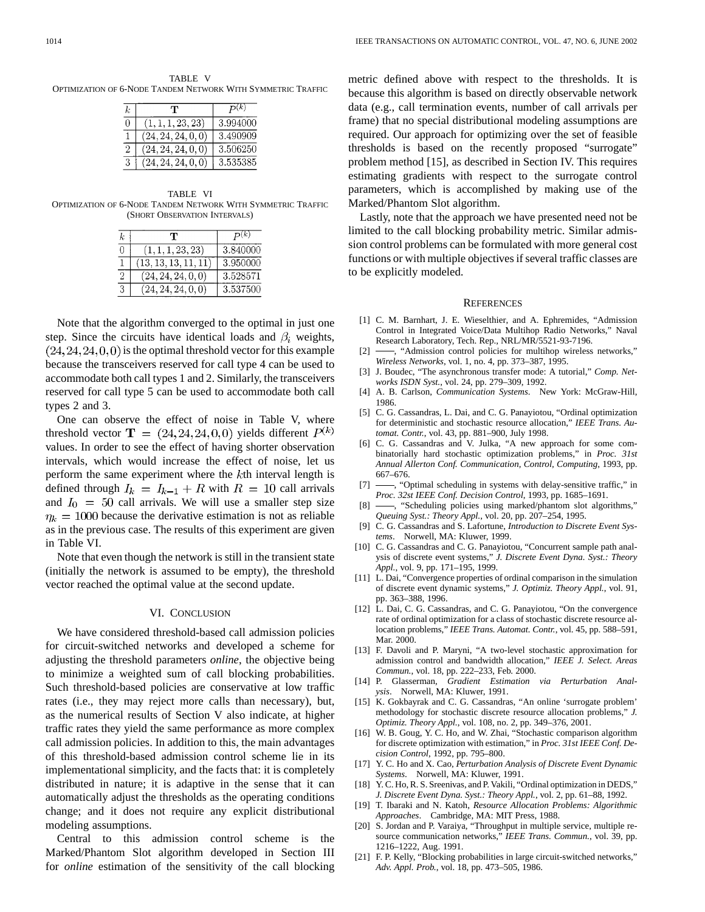TABLE V OPTIMIZATION OF 6-NODE TANDEM NETWORK WITH SYMMETRIC TRAFFIC

| k              | т                  | $\mathcal{D}^{(k)}$ |
|----------------|--------------------|---------------------|
| 0              | (1, 1, 1, 23, 23)  | 3.994000            |
|                | (24, 24, 24, 0, 0) | 3.490909            |
| $\overline{2}$ | (24, 24, 24, 0, 0) | 3.506250            |
| З              | (24, 24, 24, 0, 0) | 3.535385            |

TABLE VI OPTIMIZATION OF 6-NODE TANDEM NETWORK WITH SYMMETRIC TRAFFIC (SHORT OBSERVATION INTERVALS)

| k             | т                    | $P^{(k)}$ |
|---------------|----------------------|-----------|
| O             | (1, 1, 1, 23, 23)    | 3.840000  |
|               | (13, 13, 13, 11, 11) | 3.950000  |
| $\mathcal{D}$ | (24, 24, 24, 0, 0)   | 3.528571  |
| 3             | (24, 24, 24, 0, 0)   | 3.537500  |

Note that the algorithm converged to the optimal in just one step. Since the circuits have identical loads and  $\beta_i$  weights,  $(24, 24, 24, 0, 0)$  is the optimal threshold vector for this example because the transceivers reserved for call type 4 can be used to accommodate both call types 1 and 2. Similarly, the transceivers reserved for call type 5 can be used to accommodate both call types 2 and 3.

One can observe the effect of noise in Table V, where threshold vector  $\mathbf{T} = (24, 24, 24, 0, 0)$  yields different  $P^{(k)}$ values. In order to see the effect of having shorter observation intervals, which would increase the effect of noise, let us perform the same experiment where the  $k$ th interval length is defined through  $I_k = I_{k-1} + R$  with  $R = 10$  call arrivals and  $I_0 = 50$  call arrivals. We will use a smaller step size  $\eta_k = 1000$  because the derivative estimation is not as reliable as in the previous case. The results of this experiment are given in Table VI.

Note that even though the network is still in the transient state (initially the network is assumed to be empty), the threshold vector reached the optimal value at the second update.

#### VI. CONCLUSION

We have considered threshold-based call admission policies for circuit-switched networks and developed a scheme for adjusting the threshold parameters *online*, the objective being to minimize a weighted sum of call blocking probabilities. Such threshold-based policies are conservative at low traffic rates (i.e., they may reject more calls than necessary), but, as the numerical results of Section V also indicate, at higher traffic rates they yield the same performance as more complex call admission policies. In addition to this, the main advantages of this threshold-based admission control scheme lie in its implementational simplicity, and the facts that: it is completely distributed in nature; it is adaptive in the sense that it can automatically adjust the thresholds as the operating conditions change; and it does not require any explicit distributional modeling assumptions.

Central to this admission control scheme is the Marked/Phantom Slot algorithm developed in Section III for *online* estimation of the sensitivity of the call blocking metric defined above with respect to the thresholds. It is because this algorithm is based on directly observable network data (e.g., call termination events, number of call arrivals per frame) that no special distributional modeling assumptions are required. Our approach for optimizing over the set of feasible thresholds is based on the recently proposed "surrogate" problem method [15], as described in Section IV. This requires estimating gradients with respect to the surrogate control parameters, which is accomplished by making use of the Marked/Phantom Slot algorithm.

Lastly, note that the approach we have presented need not be limited to the call blocking probability metric. Similar admission control problems can be formulated with more general cost functions or with multiple objectives if several traffic classes are to be explicitly modeled.

#### **REFERENCES**

- [1] C. M. Barnhart, J. E. Wieselthier, and A. Ephremides, "Admission Control in Integrated Voice/Data Multihop Radio Networks," Naval Research Laboratory, Tech. Rep., NRL/MR/5521-93-7196.
- [2] -, "Admission control policies for multihop wireless networks," *Wireless Networks*, vol. 1, no. 4, pp. 373–387, 1995.
- [3] J. Boudec, "The asynchronous transfer mode: A tutorial," *Comp. Networks ISDN Syst.*, vol. 24, pp. 279–309, 1992.
- [4] A. B. Carlson, *Communication Systems*. New York: McGraw-Hill, 1986.
- [5] C. G. Cassandras, L. Dai, and C. G. Panayiotou, "Ordinal optimization for deterministic and stochastic resource allocation," *IEEE Trans. Automat. Contr.*, vol. 43, pp. 881–900, July 1998.
- [6] C. G. Cassandras and V. Julka, "A new approach for some combinatorially hard stochastic optimization problems," in *Proc. 31st Annual Allerton Conf. Communication, Control, Computing*, 1993, pp. 667–676.
- [7] -, "Optimal scheduling in systems with delay-sensitive traffic," in *Proc. 32st IEEE Conf. Decision Control*, 1993, pp. 1685–1691.
- [8] -, "Scheduling policies using marked/phantom slot algorithms," *Queuing Syst.: Theory Appl.*, vol. 20, pp. 207–254, 1995.
- [9] C. G. Cassandras and S. Lafortune, *Introduction to Discrete Event Systems*. Norwell, MA: Kluwer, 1999.
- [10] C. G. Cassandras and C. G. Panayiotou, "Concurrent sample path analysis of discrete event systems," *J. Discrete Event Dyna. Syst.: Theory Appl.*, vol. 9, pp. 171–195, 1999.
- [11] L. Dai, "Convergence properties of ordinal comparison in the simulation of discrete event dynamic systems," *J. Optimiz. Theory Appl.*, vol. 91, pp. 363–388, 1996.
- [12] L. Dai, C. G. Cassandras, and C. G. Panayiotou, "On the convergence rate of ordinal optimization for a class of stochastic discrete resource allocation problems," *IEEE Trans. Automat. Contr.*, vol. 45, pp. 588–591, Mar. 2000.
- [13] F. Davoli and P. Maryni, "A two-level stochastic approximation for admission control and bandwidth allocation," *IEEE J. Select. Areas Commun.*, vol. 18, pp. 222–233, Feb. 2000.
- [14] P. Glasserman, *Gradient Estimation via Perturbation Analysis*. Norwell, MA: Kluwer, 1991.
- [15] K. Gokbayrak and C. G. Cassandras, "An online 'surrogate problem' methodology for stochastic discrete resource allocation problems," *J. Optimiz. Theory Appl.*, vol. 108, no. 2, pp. 349–376, 2001.
- [16] W. B. Goug, Y. C. Ho, and W. Zhai, "Stochastic comparison algorithm for discrete optimization with estimation," in *Proc. 31st IEEE Conf. Decision Control*, 1992, pp. 795–800.
- [17] Y. C. Ho and X. Cao, *Perturbation Analysis of Discrete Event Dynamic Systems*. Norwell, MA: Kluwer, 1991.
- [18] Y. C. Ho, R. S. Sreenivas, and P. Vakili, "Ordinal optimization in DEDS," *J. Discrete Event Dyna. Syst.: Theory Appl.*, vol. 2, pp. 61–88, 1992.
- [19] T. Ibaraki and N. Katoh, *Resource Allocation Problems: Algorithmic Approaches*. Cambridge, MA: MIT Press, 1988.
- [20] S. Jordan and P. Varaiya, "Throughput in multiple service, multiple resource communication networks," *IEEE Trans. Commun.*, vol. 39, pp. 1216–1222, Aug. 1991.
- [21] F. P. Kelly, "Blocking probabilities in large circuit-switched networks," *Adv. Appl. Prob.*, vol. 18, pp. 473–505, 1986.